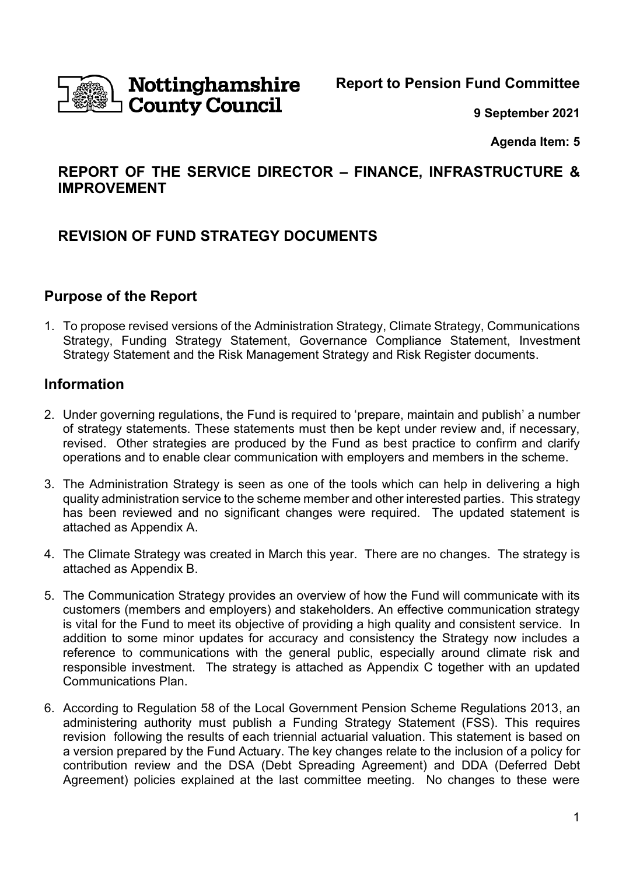

# Nottinghamshire **County Council**

**Report to Pension Fund Committee**

**9 September 2021**

**Agenda Item: 5**

# **REPORT OF THE SERVICE DIRECTOR – FINANCE, INFRASTRUCTURE & IMPROVEMENT**

# **REVISION OF FUND STRATEGY DOCUMENTS**

# **Purpose of the Report**

1. To propose revised versions of the Administration Strategy, Climate Strategy, Communications Strategy, Funding Strategy Statement, Governance Compliance Statement, Investment Strategy Statement and the Risk Management Strategy and Risk Register documents.

# **Information**

- 2. Under governing regulations, the Fund is required to 'prepare, maintain and publish' a number of strategy statements. These statements must then be kept under review and, if necessary, revised. Other strategies are produced by the Fund as best practice to confirm and clarify operations and to enable clear communication with employers and members in the scheme.
- 3. The Administration Strategy is seen as one of the tools which can help in delivering a high quality administration service to the scheme member and other interested parties. This strategy has been reviewed and no significant changes were required. The updated statement is attached as Appendix A.
- 4. The Climate Strategy was created in March this year. There are no changes. The strategy is attached as Appendix B.
- 5. The Communication Strategy provides an overview of how the Fund will communicate with its customers (members and employers) and stakeholders. An effective communication strategy is vital for the Fund to meet its objective of providing a high quality and consistent service. In addition to some minor updates for accuracy and consistency the Strategy now includes a reference to communications with the general public, especially around climate risk and responsible investment. The strategy is attached as Appendix C together with an updated Communications Plan.
- 6. According to Regulation 58 of the Local Government Pension Scheme Regulations 2013, an administering authority must publish a Funding Strategy Statement (FSS). This requires revision following the results of each triennial actuarial valuation. This statement is based on a version prepared by the Fund Actuary. The key changes relate to the inclusion of a policy for contribution review and the DSA (Debt Spreading Agreement) and DDA (Deferred Debt Agreement) policies explained at the last committee meeting. No changes to these were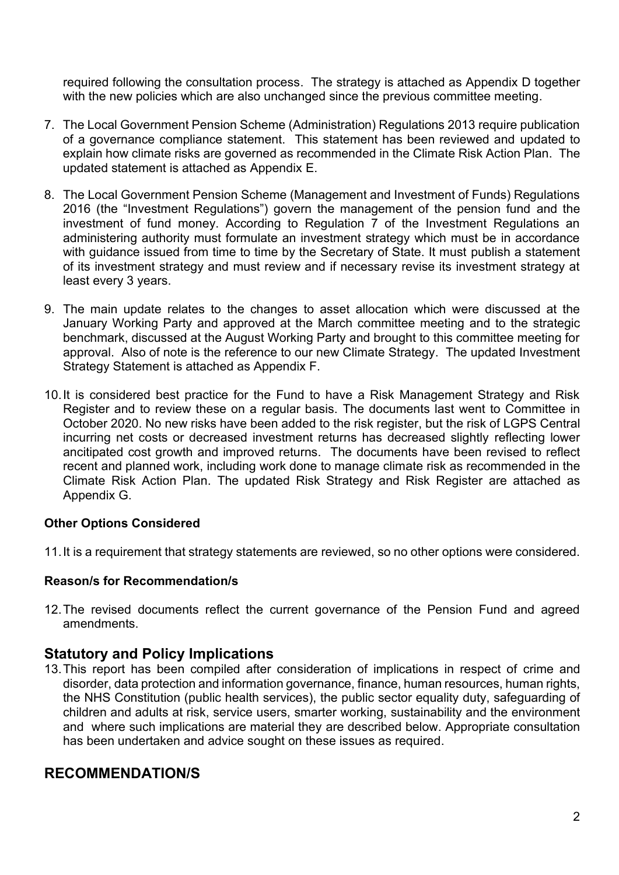required following the consultation process. The strategy is attached as Appendix D together with the new policies which are also unchanged since the previous committee meeting.

- 7. The Local Government Pension Scheme (Administration) Regulations 2013 require publication of a governance compliance statement. This statement has been reviewed and updated to explain how climate risks are governed as recommended in the Climate Risk Action Plan. The updated statement is attached as Appendix E.
- 8. The Local Government Pension Scheme (Management and Investment of Funds) Regulations 2016 (the "Investment Regulations") govern the management of the pension fund and the investment of fund money. According to Regulation 7 of the Investment Regulations an administering authority must formulate an investment strategy which must be in accordance with guidance issued from time to time by the Secretary of State. It must publish a statement of its investment strategy and must review and if necessary revise its investment strategy at least every 3 years.
- 9. The main update relates to the changes to asset allocation which were discussed at the January Working Party and approved at the March committee meeting and to the strategic benchmark, discussed at the August Working Party and brought to this committee meeting for approval. Also of note is the reference to our new Climate Strategy. The updated Investment Strategy Statement is attached as Appendix F.
- 10.It is considered best practice for the Fund to have a Risk Management Strategy and Risk Register and to review these on a regular basis. The documents last went to Committee in October 2020. No new risks have been added to the risk register, but the risk of LGPS Central incurring net costs or decreased investment returns has decreased slightly reflecting lower ancitipated cost growth and improved returns. The documents have been revised to reflect recent and planned work, including work done to manage climate risk as recommended in the Climate Risk Action Plan. The updated Risk Strategy and Risk Register are attached as Appendix G.

## **Other Options Considered**

11.It is a requirement that strategy statements are reviewed, so no other options were considered.

## **Reason/s for Recommendation/s**

12.The revised documents reflect the current governance of the Pension Fund and agreed amendments.

# **Statutory and Policy Implications**

13.This report has been compiled after consideration of implications in respect of crime and disorder, data protection and information governance, finance, human resources, human rights, the NHS Constitution (public health services), the public sector equality duty, safeguarding of children and adults at risk, service users, smarter working, sustainability and the environment and where such implications are material they are described below. Appropriate consultation has been undertaken and advice sought on these issues as required.

# **RECOMMENDATION/S**